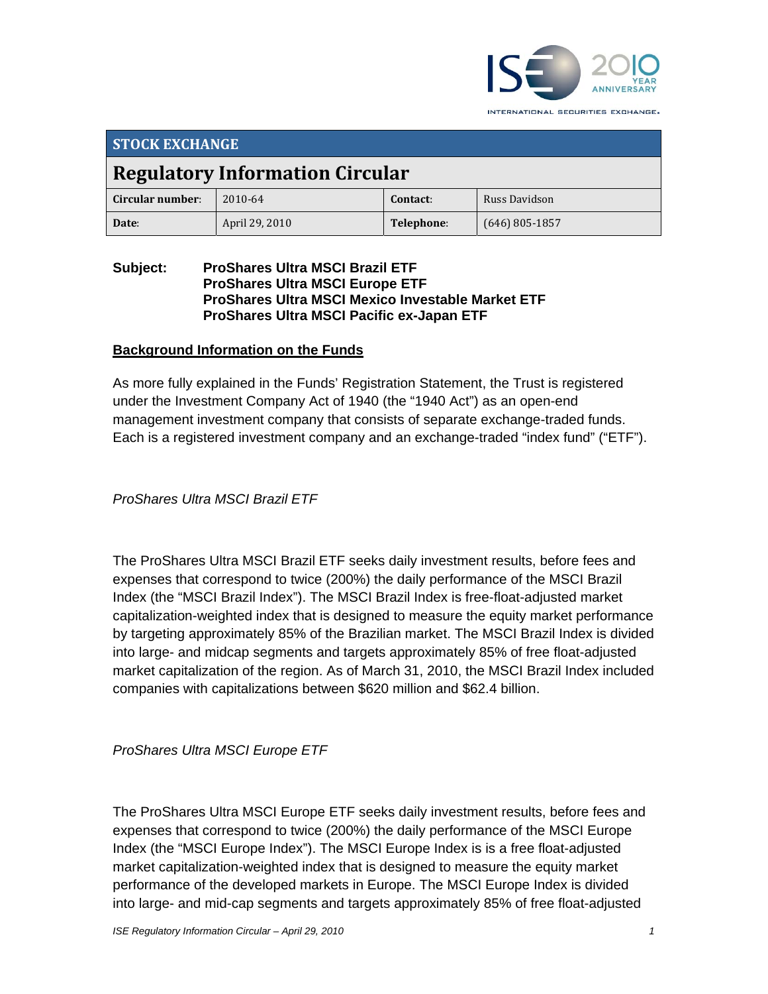

INTERNATIONAL SECURITIES EXCHANGE.

| <b>STOCK EXCHANGE</b>                  |                |            |                  |  |
|----------------------------------------|----------------|------------|------------------|--|
| <b>Regulatory Information Circular</b> |                |            |                  |  |
| Circular number:                       | 2010-64        | Contact:   | Russ Davidson    |  |
| Date:                                  | April 29, 2010 | Telephone: | $(646)$ 805-1857 |  |

#### **Subject: ProShares Ultra MSCI Brazil ETF ProShares Ultra MSCI Europe ETF ProShares Ultra MSCI Mexico Investable Market ETF ProShares Ultra MSCI Pacific ex-Japan ETF**

## **Background Information on the Funds**

As more fully explained in the Funds' Registration Statement, the Trust is registered under the Investment Company Act of 1940 (the "1940 Act") as an open-end management investment company that consists of separate exchange-traded funds. Each is a registered investment company and an exchange-traded "index fund" ("ETF").

*ProShares Ultra MSCI Brazil ETF* 

The ProShares Ultra MSCI Brazil ETF seeks daily investment results, before fees and expenses that correspond to twice (200%) the daily performance of the MSCI Brazil Index (the "MSCI Brazil Index"). The MSCI Brazil Index is free-float-adjusted market capitalization-weighted index that is designed to measure the equity market performance by targeting approximately 85% of the Brazilian market. The MSCI Brazil Index is divided into large- and midcap segments and targets approximately 85% of free float-adjusted market capitalization of the region. As of March 31, 2010, the MSCI Brazil Index included companies with capitalizations between \$620 million and \$62.4 billion.

*ProShares Ultra MSCI Europe ETF* 

The ProShares Ultra MSCI Europe ETF seeks daily investment results, before fees and expenses that correspond to twice (200%) the daily performance of the MSCI Europe Index (the "MSCI Europe Index"). The MSCI Europe Index is is a free float-adjusted market capitalization-weighted index that is designed to measure the equity market performance of the developed markets in Europe. The MSCI Europe Index is divided into large- and mid-cap segments and targets approximately 85% of free float-adjusted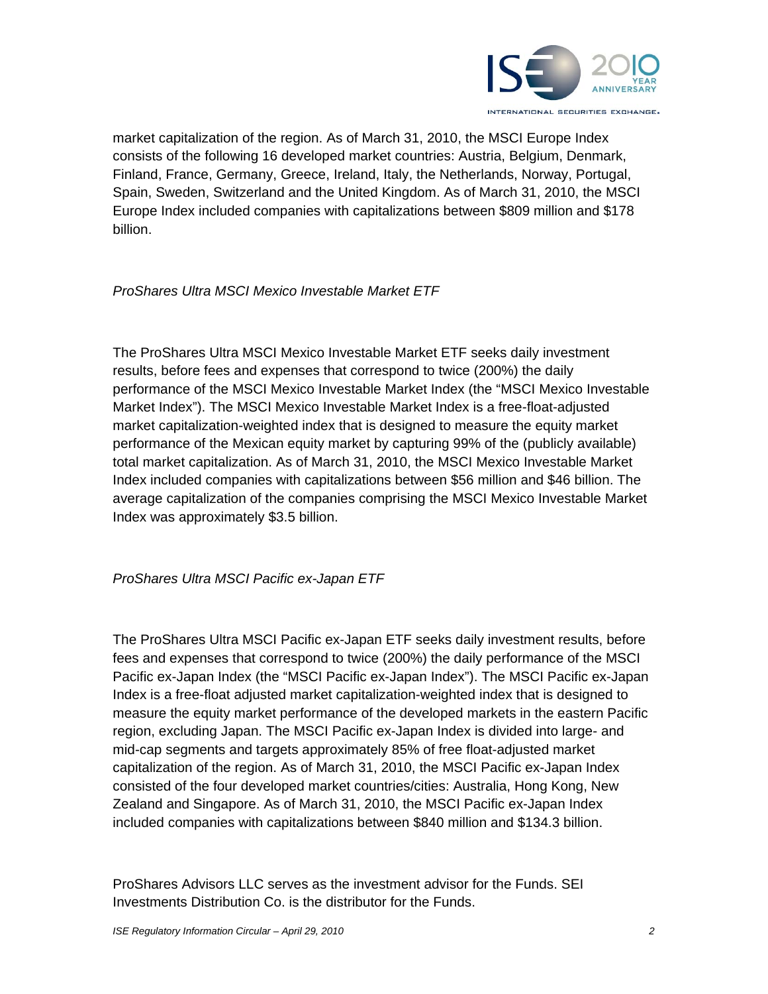

market capitalization of the region. As of March 31, 2010, the MSCI Europe Index consists of the following 16 developed market countries: Austria, Belgium, Denmark, Finland, France, Germany, Greece, Ireland, Italy, the Netherlands, Norway, Portugal, Spain, Sweden, Switzerland and the United Kingdom. As of March 31, 2010, the MSCI Europe Index included companies with capitalizations between \$809 million and \$178 billion.

### *ProShares Ultra MSCI Mexico Investable Market ETF*

The ProShares Ultra MSCI Mexico Investable Market ETF seeks daily investment results, before fees and expenses that correspond to twice (200%) the daily performance of the MSCI Mexico Investable Market Index (the "MSCI Mexico Investable Market Index"). The MSCI Mexico Investable Market Index is a free-float-adjusted market capitalization-weighted index that is designed to measure the equity market performance of the Mexican equity market by capturing 99% of the (publicly available) total market capitalization. As of March 31, 2010, the MSCI Mexico Investable Market Index included companies with capitalizations between \$56 million and \$46 billion. The average capitalization of the companies comprising the MSCI Mexico Investable Market Index was approximately \$3.5 billion.

#### *ProShares Ultra MSCI Pacific ex-Japan ETF*

The ProShares Ultra MSCI Pacific ex-Japan ETF seeks daily investment results, before fees and expenses that correspond to twice (200%) the daily performance of the MSCI Pacific ex-Japan Index (the "MSCI Pacific ex-Japan Index"). The MSCI Pacific ex-Japan Index is a free-float adjusted market capitalization-weighted index that is designed to measure the equity market performance of the developed markets in the eastern Pacific region, excluding Japan. The MSCI Pacific ex-Japan Index is divided into large- and mid-cap segments and targets approximately 85% of free float-adjusted market capitalization of the region. As of March 31, 2010, the MSCI Pacific ex-Japan Index consisted of the four developed market countries/cities: Australia, Hong Kong, New Zealand and Singapore. As of March 31, 2010, the MSCI Pacific ex-Japan Index included companies with capitalizations between \$840 million and \$134.3 billion.

ProShares Advisors LLC serves as the investment advisor for the Funds. SEI Investments Distribution Co. is the distributor for the Funds.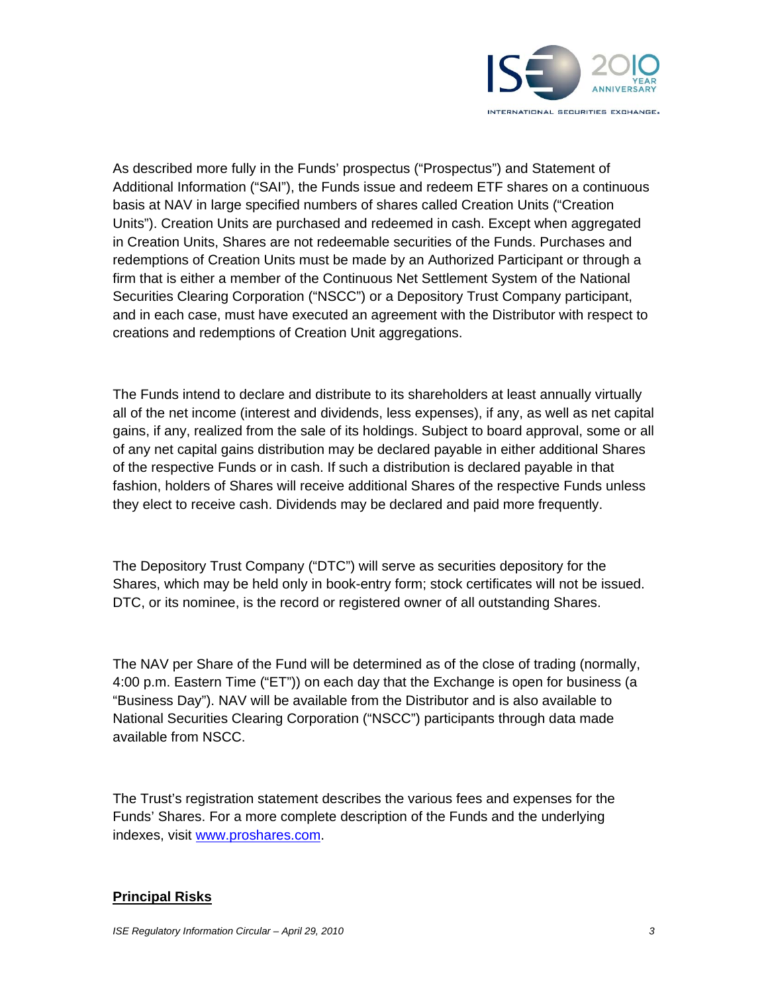

As described more fully in the Funds' prospectus ("Prospectus") and Statement of Additional Information ("SAI"), the Funds issue and redeem ETF shares on a continuous basis at NAV in large specified numbers of shares called Creation Units ("Creation Units"). Creation Units are purchased and redeemed in cash. Except when aggregated in Creation Units, Shares are not redeemable securities of the Funds. Purchases and redemptions of Creation Units must be made by an Authorized Participant or through a firm that is either a member of the Continuous Net Settlement System of the National Securities Clearing Corporation ("NSCC") or a Depository Trust Company participant, and in each case, must have executed an agreement with the Distributor with respect to creations and redemptions of Creation Unit aggregations.

The Funds intend to declare and distribute to its shareholders at least annually virtually all of the net income (interest and dividends, less expenses), if any, as well as net capital gains, if any, realized from the sale of its holdings. Subject to board approval, some or all of any net capital gains distribution may be declared payable in either additional Shares of the respective Funds or in cash. If such a distribution is declared payable in that fashion, holders of Shares will receive additional Shares of the respective Funds unless they elect to receive cash. Dividends may be declared and paid more frequently.

The Depository Trust Company ("DTC") will serve as securities depository for the Shares, which may be held only in book-entry form; stock certificates will not be issued. DTC, or its nominee, is the record or registered owner of all outstanding Shares.

The NAV per Share of the Fund will be determined as of the close of trading (normally, 4:00 p.m. Eastern Time ("ET")) on each day that the Exchange is open for business (a "Business Day"). NAV will be available from the Distributor and is also available to National Securities Clearing Corporation ("NSCC") participants through data made available from NSCC.

The Trust's registration statement describes the various fees and expenses for the Funds' Shares. For a more complete description of the Funds and the underlying indexes, visit www.proshares.com.

#### **Principal Risks**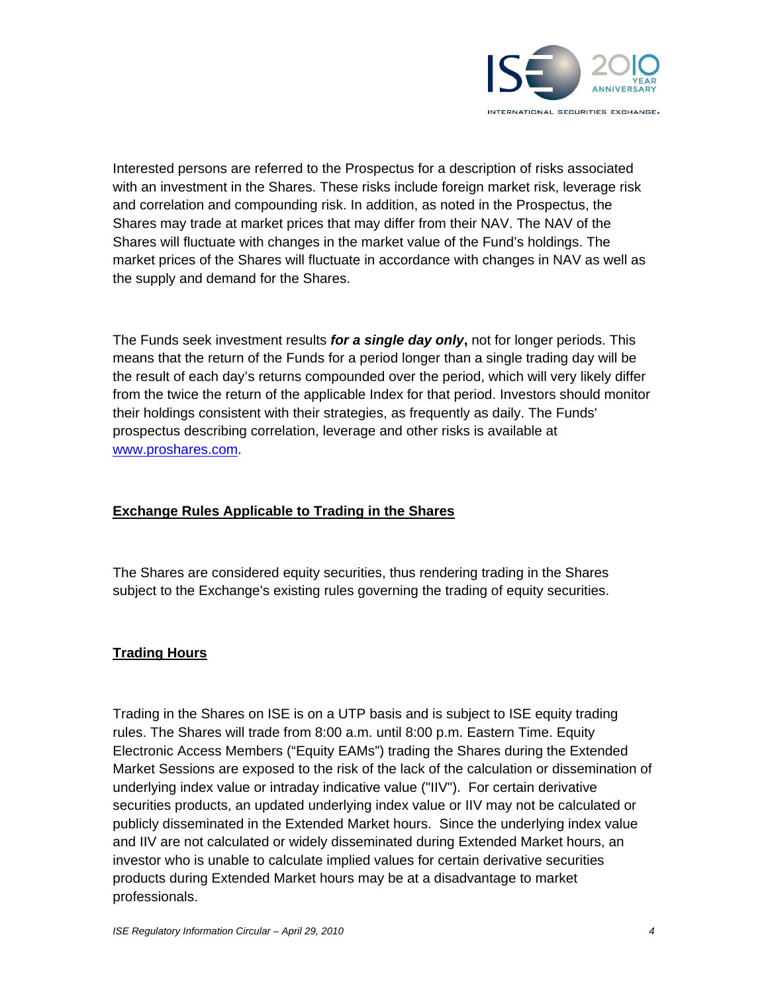

Interested persons are referred to the Prospectus for a description of risks associated with an investment in the Shares. These risks include foreign market risk, leverage risk and correlation and compounding risk. In addition, as noted in the Prospectus, the Shares may trade at market prices that may differ from their NAV. The NAV of the Shares will fluctuate with changes in the market value of the Fund's holdings. The market prices of the Shares will fluctuate in accordance with changes in NAV as well as the supply and demand for the Shares.

The Funds seek investment results *for a single day only***,** not for longer periods. This means that the return of the Funds for a period longer than a single trading day will be the result of each day's returns compounded over the period, which will very likely differ from the twice the return of the applicable Index for that period. Investors should monitor their holdings consistent with their strategies, as frequently as daily. The Funds' prospectus describing correlation, leverage and other risks is available at www.proshares.com.

## **Exchange Rules Applicable to Trading in the Shares**

The Shares are considered equity securities, thus rendering trading in the Shares subject to the Exchange's existing rules governing the trading of equity securities.

## **Trading Hours**

Trading in the Shares on ISE is on a UTP basis and is subject to ISE equity trading rules. The Shares will trade from 8:00 a.m. until 8:00 p.m. Eastern Time. Equity Electronic Access Members ("Equity EAMs") trading the Shares during the Extended Market Sessions are exposed to the risk of the lack of the calculation or dissemination of underlying index value or intraday indicative value ("IIV"). For certain derivative securities products, an updated underlying index value or IIV may not be calculated or publicly disseminated in the Extended Market hours. Since the underlying index value and IIV are not calculated or widely disseminated during Extended Market hours, an investor who is unable to calculate implied values for certain derivative securities products during Extended Market hours may be at a disadvantage to market professionals.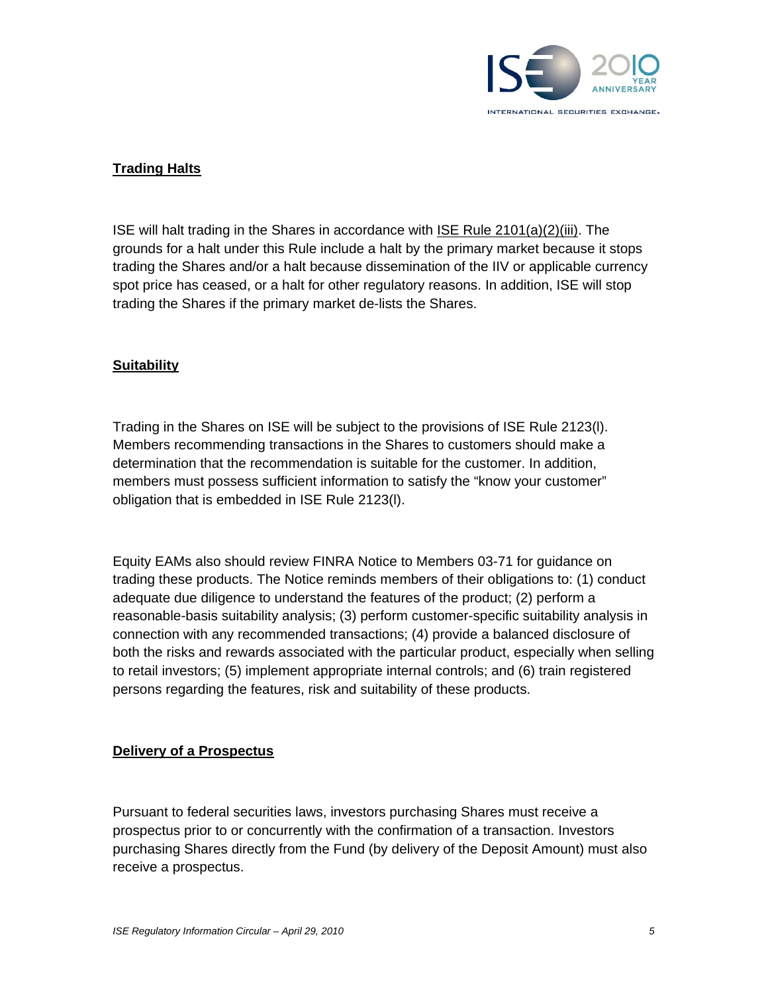

## **Trading Halts**

ISE will halt trading in the Shares in accordance with ISE Rule 2101(a)(2)(iii). The grounds for a halt under this Rule include a halt by the primary market because it stops trading the Shares and/or a halt because dissemination of the IIV or applicable currency spot price has ceased, or a halt for other regulatory reasons. In addition, ISE will stop trading the Shares if the primary market de-lists the Shares.

### **Suitability**

Trading in the Shares on ISE will be subject to the provisions of ISE Rule 2123(l). Members recommending transactions in the Shares to customers should make a determination that the recommendation is suitable for the customer. In addition, members must possess sufficient information to satisfy the "know your customer" obligation that is embedded in ISE Rule 2123(l).

Equity EAMs also should review FINRA Notice to Members 03-71 for guidance on trading these products. The Notice reminds members of their obligations to: (1) conduct adequate due diligence to understand the features of the product; (2) perform a reasonable-basis suitability analysis; (3) perform customer-specific suitability analysis in connection with any recommended transactions; (4) provide a balanced disclosure of both the risks and rewards associated with the particular product, especially when selling to retail investors; (5) implement appropriate internal controls; and (6) train registered persons regarding the features, risk and suitability of these products.

#### **Delivery of a Prospectus**

Pursuant to federal securities laws, investors purchasing Shares must receive a prospectus prior to or concurrently with the confirmation of a transaction. Investors purchasing Shares directly from the Fund (by delivery of the Deposit Amount) must also receive a prospectus.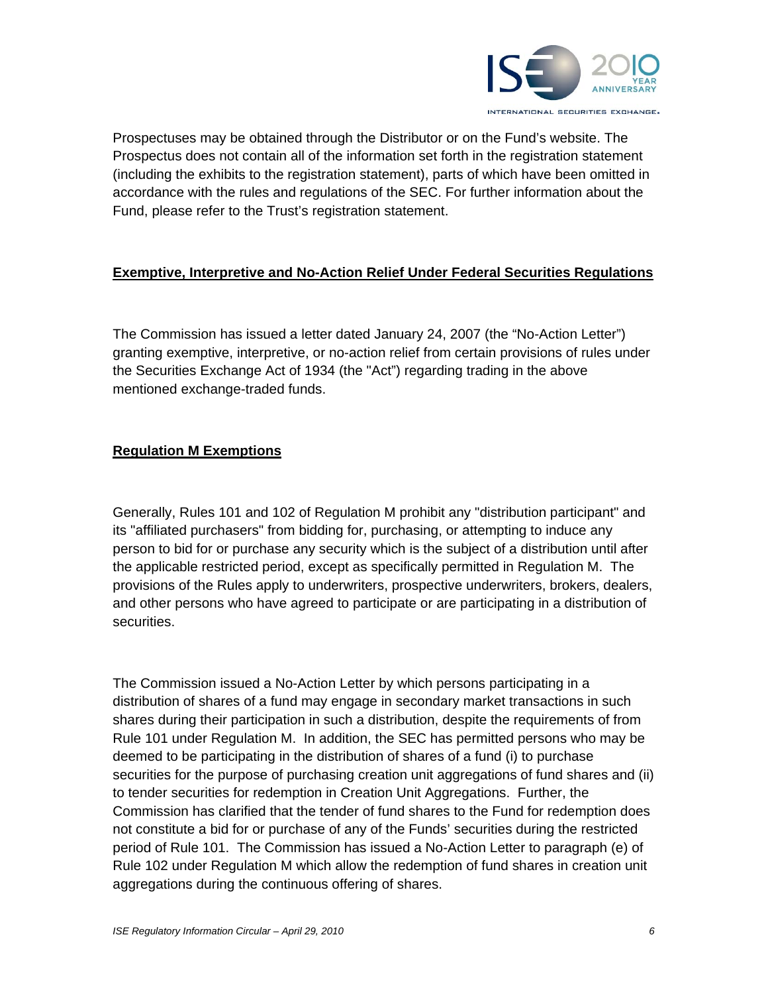

Prospectuses may be obtained through the Distributor or on the Fund's website. The Prospectus does not contain all of the information set forth in the registration statement (including the exhibits to the registration statement), parts of which have been omitted in accordance with the rules and regulations of the SEC. For further information about the Fund, please refer to the Trust's registration statement.

## **Exemptive, Interpretive and No-Action Relief Under Federal Securities Regulations**

The Commission has issued a letter dated January 24, 2007 (the "No-Action Letter") granting exemptive, interpretive, or no-action relief from certain provisions of rules under the Securities Exchange Act of 1934 (the "Act") regarding trading in the above mentioned exchange-traded funds.

## **Regulation M Exemptions**

Generally, Rules 101 and 102 of Regulation M prohibit any "distribution participant" and its "affiliated purchasers" from bidding for, purchasing, or attempting to induce any person to bid for or purchase any security which is the subject of a distribution until after the applicable restricted period, except as specifically permitted in Regulation M. The provisions of the Rules apply to underwriters, prospective underwriters, brokers, dealers, and other persons who have agreed to participate or are participating in a distribution of securities.

The Commission issued a No-Action Letter by which persons participating in a distribution of shares of a fund may engage in secondary market transactions in such shares during their participation in such a distribution, despite the requirements of from Rule 101 under Regulation M. In addition, the SEC has permitted persons who may be deemed to be participating in the distribution of shares of a fund (i) to purchase securities for the purpose of purchasing creation unit aggregations of fund shares and (ii) to tender securities for redemption in Creation Unit Aggregations. Further, the Commission has clarified that the tender of fund shares to the Fund for redemption does not constitute a bid for or purchase of any of the Funds' securities during the restricted period of Rule 101. The Commission has issued a No-Action Letter to paragraph (e) of Rule 102 under Regulation M which allow the redemption of fund shares in creation unit aggregations during the continuous offering of shares.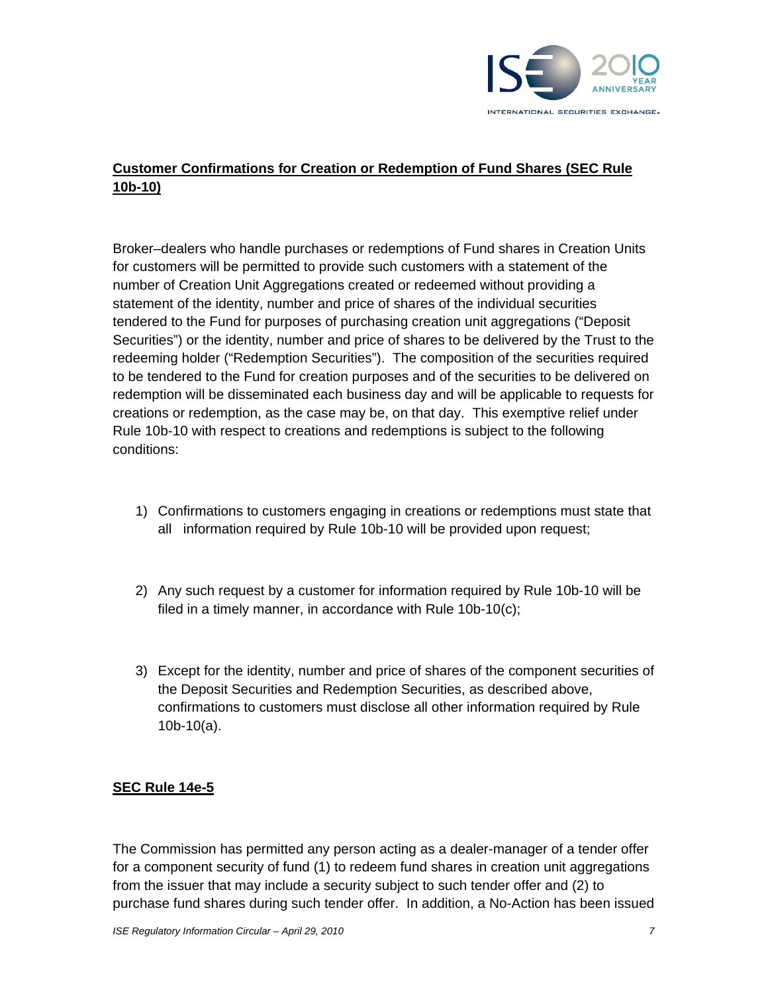

# **Customer Confirmations for Creation or Redemption of Fund Shares (SEC Rule 10b-10)**

Broker–dealers who handle purchases or redemptions of Fund shares in Creation Units for customers will be permitted to provide such customers with a statement of the number of Creation Unit Aggregations created or redeemed without providing a statement of the identity, number and price of shares of the individual securities tendered to the Fund for purposes of purchasing creation unit aggregations ("Deposit Securities") or the identity, number and price of shares to be delivered by the Trust to the redeeming holder ("Redemption Securities"). The composition of the securities required to be tendered to the Fund for creation purposes and of the securities to be delivered on redemption will be disseminated each business day and will be applicable to requests for creations or redemption, as the case may be, on that day. This exemptive relief under Rule 10b-10 with respect to creations and redemptions is subject to the following conditions:

- 1) Confirmations to customers engaging in creations or redemptions must state that all information required by Rule 10b-10 will be provided upon request;
- 2) Any such request by a customer for information required by Rule 10b-10 will be filed in a timely manner, in accordance with Rule 10b-10(c);
- 3) Except for the identity, number and price of shares of the component securities of the Deposit Securities and Redemption Securities, as described above, confirmations to customers must disclose all other information required by Rule 10b-10(a).

## **SEC Rule 14e-5**

The Commission has permitted any person acting as a dealer-manager of a tender offer for a component security of fund (1) to redeem fund shares in creation unit aggregations from the issuer that may include a security subject to such tender offer and (2) to purchase fund shares during such tender offer. In addition, a No-Action has been issued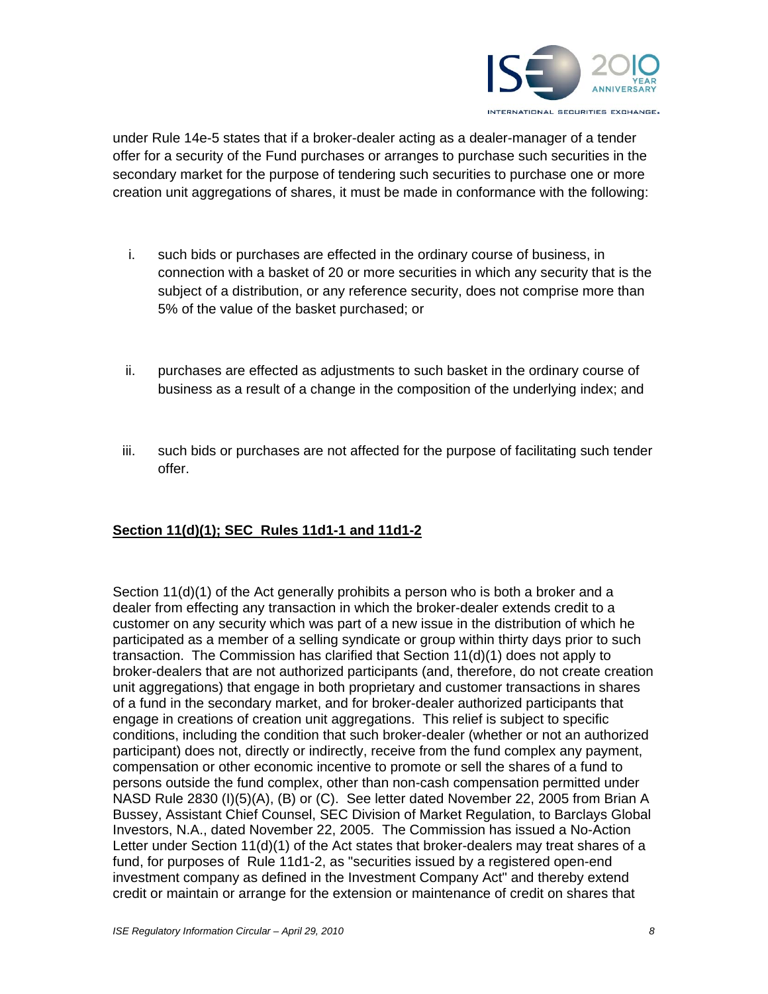

under Rule 14e-5 states that if a broker-dealer acting as a dealer-manager of a tender offer for a security of the Fund purchases or arranges to purchase such securities in the secondary market for the purpose of tendering such securities to purchase one or more creation unit aggregations of shares, it must be made in conformance with the following:

- i. such bids or purchases are effected in the ordinary course of business, in connection with a basket of 20 or more securities in which any security that is the subject of a distribution, or any reference security, does not comprise more than 5% of the value of the basket purchased; or
- ii. purchases are effected as adjustments to such basket in the ordinary course of business as a result of a change in the composition of the underlying index; and
- iii. such bids or purchases are not affected for the purpose of facilitating such tender offer.

## **Section 11(d)(1); SEC Rules 11d1-1 and 11d1-2**

Section 11(d)(1) of the Act generally prohibits a person who is both a broker and a dealer from effecting any transaction in which the broker-dealer extends credit to a customer on any security which was part of a new issue in the distribution of which he participated as a member of a selling syndicate or group within thirty days prior to such transaction. The Commission has clarified that Section 11(d)(1) does not apply to broker-dealers that are not authorized participants (and, therefore, do not create creation unit aggregations) that engage in both proprietary and customer transactions in shares of a fund in the secondary market, and for broker-dealer authorized participants that engage in creations of creation unit aggregations. This relief is subject to specific conditions, including the condition that such broker-dealer (whether or not an authorized participant) does not, directly or indirectly, receive from the fund complex any payment, compensation or other economic incentive to promote or sell the shares of a fund to persons outside the fund complex, other than non-cash compensation permitted under NASD Rule 2830 (I)(5)(A), (B) or (C). See letter dated November 22, 2005 from Brian A Bussey, Assistant Chief Counsel, SEC Division of Market Regulation, to Barclays Global Investors, N.A., dated November 22, 2005. The Commission has issued a No-Action Letter under Section 11(d)(1) of the Act states that broker-dealers may treat shares of a fund, for purposes of Rule 11d1-2, as "securities issued by a registered open-end investment company as defined in the Investment Company Act" and thereby extend credit or maintain or arrange for the extension or maintenance of credit on shares that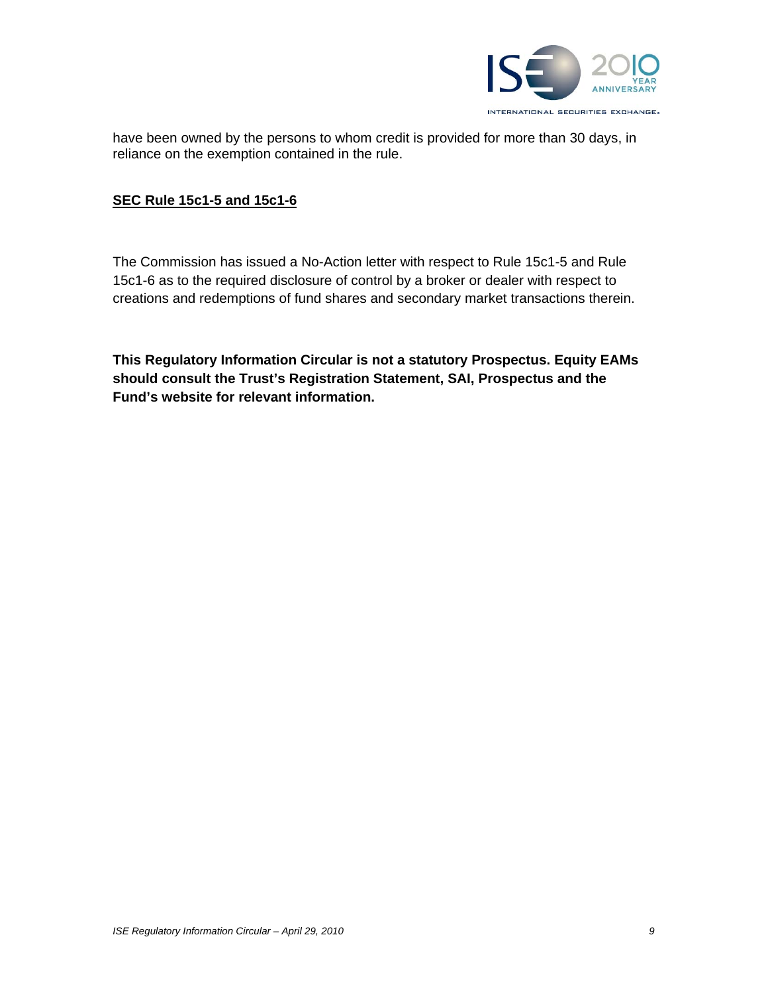

have been owned by the persons to whom credit is provided for more than 30 days, in reliance on the exemption contained in the rule.

#### **SEC Rule 15c1-5 and 15c1-6**

The Commission has issued a No-Action letter with respect to Rule 15c1-5 and Rule 15c1-6 as to the required disclosure of control by a broker or dealer with respect to creations and redemptions of fund shares and secondary market transactions therein.

**This Regulatory Information Circular is not a statutory Prospectus. Equity EAMs should consult the Trust's Registration Statement, SAI, Prospectus and the Fund's website for relevant information.**